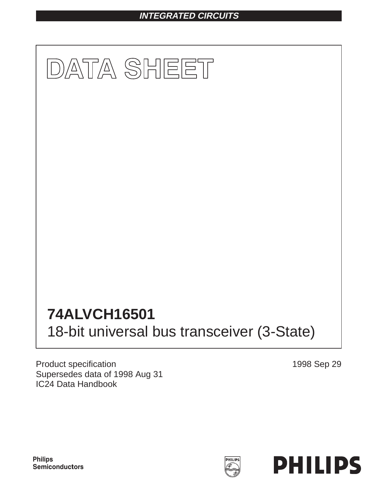## **INTEGRATED CIRCUITS**



Product specification Supersedes data of 1998 Aug 31 IC24 Data Handbook

1998 Sep 29



**Philips** Semiconductors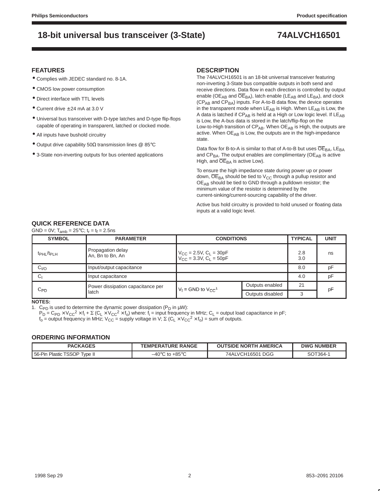### **FEATURES**

- Complies with JEDEC standard no. 8-1A.
- CMOS low power consumption
- Direct interface with TTL levels
- $\bullet$  Current drive  $\pm$  24 mA at 3.0 V
- Universal bus transceiver with D-type latches and D-type flip-flops capable of operating in transparent, latched or clocked mode.
- All inputs have bushold circuitry
- Output drive capability 50 $\Omega$  transmission lines @ 85°C
- 3-State non-inverting outputs for bus oriented applications

### **DESCRIPTION**

The 74ALVCH16501 is an 18-bit universal transceiver featuring non-inverting 3-State bus compatible outputs in both send and receive directions. Data flow in each direction is controlled by output enable ( $OE<sub>AB</sub>$  and  $\overline{OE}_{BA}$ ), latch enable (LE<sub>AB</sub> and LE<sub>BA</sub>), and clock (CP<sub>AB</sub> and CP<sub>BA</sub>) inputs. For A-to-B data flow, the device operates in the transparent mode when  $LE_{AB}$  is High. When  $LE_{AB}$  is Low, the A data is latched if  $CP_{AB}$  is held at a High or Low logic level. If  $LE_{AB}$ is Low, the A-bus data is stored in the latch/flip-flop on the Low-to-High transition of  $CP_{AB}$ . When  $OE_{AB}$  is High, the outputs are active. When OE<sub>AB</sub> is Low, the outputs are in the high-impedance state.

Data flow for B-to-A is similar to that of A-to-B but uses  $\overline{OE}_{BA}$ , LE<sub>BA</sub> and  $CP_{BA}$ . The output enables are complimentary ( $OE_{AB}$  is active High, and  $\overline{OE}_{BA}$  is active Low).

To ensure the high impedance state during power up or power down,  $\overline{OE}_{BA}$  should be tied to  $V_{CC}$  through a pullup resistor and  $OE<sub>AB</sub>$  should be tied to GND through a pulldown resistor; the minimum value of the resistor is determined by the current-sinking/current-sourcing capability of the driver.

Active bus hold circuitry is provided to hold unused or floating data inputs at a valid logic level.

## **QUICK REFERENCE DATA**

 $GND = 0V: T_{amb} = 25^{\circ}C: t_r = t_f = 2.5$ ns

| <b>SYMBOL</b>              | <b>PARAMETER</b>                      | <b>CONDITIONS</b>                                                                | <b>TYPICAL</b>   | <b>UNIT</b> |    |
|----------------------------|---------------------------------------|----------------------------------------------------------------------------------|------------------|-------------|----|
| $tpHL$ / $tpLH$            | Propagation delay<br>An, Bn to Bn, An | $V_{CC}$ = 2.5V, C <sub>L</sub> = 30pF<br>$V_{CC}$ = 3.3V, C <sub>L</sub> = 50pF | 2.8<br>3.0       | ns          |    |
| $C_{I/O}$                  | Input/output capacitance              |                                                                                  | 8.0              | рF          |    |
| Cı                         | Input capacitance                     |                                                                                  | 4.0              | рF          |    |
|                            | Power dissipation capacitance per     | $V_1$ = GND to $V_{CC}$ <sup>1</sup>                                             | Outputs enabled  | 21          | pF |
| $\mathtt{C}_{\mathsf{PD}}$ | latch                                 |                                                                                  | Outputs disabled | 3           |    |

**NOTES:**

1. C<sub>PD</sub> is used to determine the dynamic power dissipation (P<sub>D</sub> in  $\mu$ W):

 $P_D = C_{PD} \times V_{CC}^2 \times f_i + \Sigma (C_L \times V_{CC}^2 \times f_o)$  where:  $f_i$  = input frequency in MHz;  $C_L$  = output load capacitance in pF;

 $f_0 =$  output frequency in MHz;  $V_{CC} =$  supply voltage in V;  $\Sigma$  (C<sub>L</sub> × V<sub>CC</sub><sup>2</sup> × f<sub>0</sub>) = sum of outputs.

### **ORDERING INFORMATION**

| <b>PACKAGES</b>              | <b>TEMPERATURE RANGE</b> | <b>OUTSIDE NORTH AMERICA</b> | <b>DWG NUMBER</b> |
|------------------------------|--------------------------|------------------------------|-------------------|
| 56-Pin Plastic TSSOP Type II | –40°C to +85° $\cap$     | 74ALVCH16501 DGG             | SOT364-1          |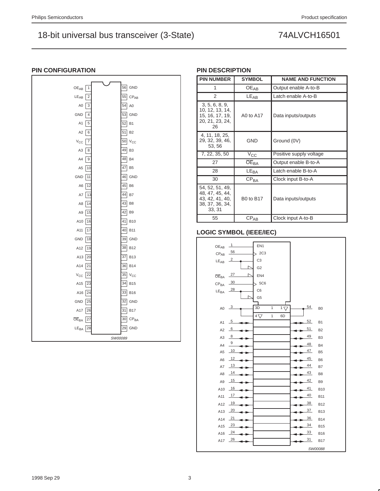| $\mathbf{1}$<br>$\mathsf{OE}_{\mathsf{AB}}$ |         | 56 GND                |
|---------------------------------------------|---------|-----------------------|
| $LE_{AB}$<br>$\overline{\mathbf{c}}$        |         | $55$ CP <sub>AB</sub> |
| A <sub>0</sub><br>$\ensuremath{\mathsf{3}}$ | 54      | $\mathsf{A}0$         |
| GND<br>$\overline{4}$                       |         | 53 GND                |
| A1<br>5                                     | 52      | B <sub>1</sub>        |
| A <sub>2</sub><br>6                         | 51      | <b>B2</b>             |
| $\boldsymbol{7}$<br>$V_{\rm CC}$            |         | $50$ V <sub>CC</sub>  |
| A <sub>3</sub><br>8                         | 49      | B <sub>3</sub>        |
| A4<br>$\boldsymbol{9}$                      | 48      | B <sub>4</sub>        |
| 10<br>A <sub>5</sub>                        | 47      | B <sub>5</sub>        |
| GND<br>11                                   | 46      | GND                   |
| A <sub>6</sub><br>12                        | 45      | B <sub>6</sub>        |
| A7<br>13                                    | 44      | B7                    |
| 14<br>A8                                    | 43      | B <sub>8</sub>        |
| A9<br>15                                    | 42      | B <sub>9</sub>        |
| A10<br>16                                   |         | 41 B10                |
| A11<br>17                                   | 40      | <b>B11</b>            |
| GND<br>18                                   |         | 39 GND                |
| A12<br>19                                   | 38      | <b>B12</b>            |
| A13<br>20                                   | 37      | <b>B13</b>            |
| A14<br>21                                   |         | 36 B14                |
| 22<br>$V_{\rm CC}$                          |         | $35$ $V_{CC}$         |
| A15<br>23                                   | 34      | <b>B15</b>            |
| A16<br>24                                   | 33      | <b>B16</b>            |
| GND<br>25                                   |         | 32 GND                |
| A17<br>26                                   | 31      | <b>B17</b>            |
| $\overline{\text{OE}}_{\text{BA}}$<br>27    |         | $30$ CP <sub>BA</sub> |
| LE <sub>BA</sub><br>28                      | 29      | GND                   |
|                                             | SW00089 |                       |

## **PIN CONFIGURATION**

## **PIN DESCRIPTION**

| <b>PIN NUMBER</b>                                                                  | <b>SYMBOL</b>    | <b>NAME AND FUNCTION</b> |
|------------------------------------------------------------------------------------|------------------|--------------------------|
| 1                                                                                  | OE <sub>AR</sub> | Output enable A-to-B     |
| 2                                                                                  | $LE_{AB}$        | Latch enable A-to-B      |
| 3, 5, 6, 8, 9,<br>10, 12, 13, 14,<br>15, 16, 17, 19,<br>20, 21, 23, 24,<br>26      | A0 to A17        | Data inputs/outputs      |
| 4, 11, 18, 25,<br>29, 32, 39, 46,<br>53, 56                                        | <b>GND</b>       | Ground (0V)              |
| 7, 22, 35, 50                                                                      | $V_{\rm CC}$     | Positive supply voltage  |
| 27                                                                                 | OE <sub>BA</sub> | Output enable B-to-A     |
| 28                                                                                 | $LE_{BA}$        | Latch enable B-to-A      |
| 30                                                                                 | CP <sub>BA</sub> | Clock input B-to-A       |
| 54, 52, 51, 49,<br>48, 47, 45, 44,<br>43, 42, 41, 40,<br>38, 37, 36, 34,<br>33, 31 | <b>B0 to B17</b> | Data inputs/outputs      |
| 55                                                                                 | $CP_{AB}$        | Clock input A-to-B       |

## **LOGIC SYMBOL (IEEE/IEC)**

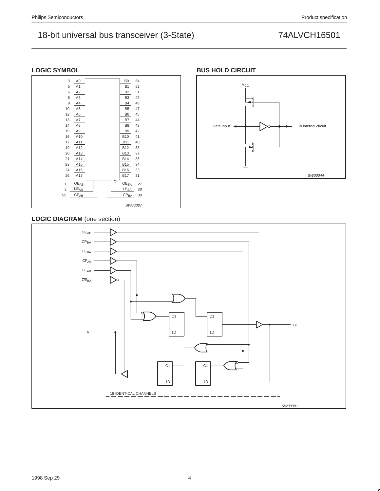### **LOGIC SYMBOL**



### **BUS HOLD CIRCUIT**



## **LOGIC DIAGRAM** (one section)

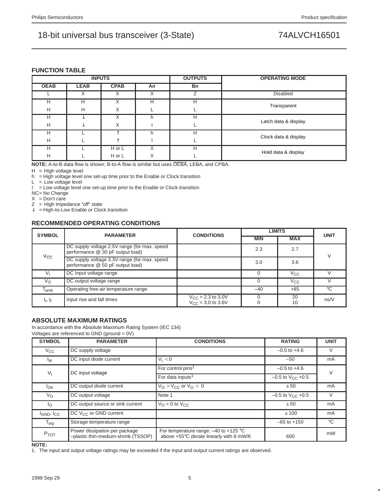### **FUNCTION TABLE**

|             |             | <b>INPUTS</b> |    | <b>OUTPUTS</b> | <b>OPERATING MODE</b> |
|-------------|-------------|---------------|----|----------------|-----------------------|
| <b>OEAB</b> | <b>LEAB</b> | <b>CPAB</b>   | An | Bn             |                       |
|             | X           | Х             | Х  | ⇁              | <b>Disabled</b>       |
| н           | H           | X             | Н  | Н              |                       |
| Н           | H           | Χ             |    |                | Transparent           |
| н           |             | $\checkmark$  |    | н              |                       |
| H           |             | X             |    |                | Latch data & display  |
| н           |             |               | h  | Н              |                       |
| н           |             |               |    |                | Clock data & display  |
| н           |             | H or L        |    | н              |                       |
| H           |             | H or L        | Χ  |                | Hold data & display   |

**NOTE:** A-to-B data flow is shown; B-to-A flow is similar but uses OEBA, LEBA, and CPBA.

 $H = H$ igh voltage level

 $h =$  High voltage level one set-up time prior to the Enable or Clock transition

 $L = Low voltage level$ 

 $I = Low voltage level one set-up time prior to the Enable or Clock transition$ 

NC= No Change

 $X = Don't care$ 

 $Z =$  High Impedance "off" state

 $\downarrow$  = High-to-Low Enable or Clock transition

## **RECOMMENDED OPERATING CONDITIONS**

| <b>SYMBOL</b> | <b>PARAMETER</b>                                                                  | <b>CONDITIONS</b>                                | <b>LIMITS</b> | <b>UNIT</b>  |             |
|---------------|-----------------------------------------------------------------------------------|--------------------------------------------------|---------------|--------------|-------------|
|               |                                                                                   |                                                  | <b>MIN</b>    | <b>MAX</b>   |             |
|               | DC supply voltage 2.5V range (for max. speed)<br>performance @ 30 pF output load) |                                                  | 2.3           | 2.7          | V           |
| Vcc           | DC supply voltage 3.3V range (for max. speed<br>performance @ 50 pF output load)  |                                                  | 3.0           | 3.6          |             |
|               | DC Input voltage range                                                            |                                                  |               | $V_{\rm CC}$ |             |
| $V_{\Omega}$  | DC output voltage range                                                           |                                                  |               | $V_{\rm CC}$ |             |
| $T_{amb}$     | Operating free-air temperature range                                              |                                                  | $-40$         | +85          | $^{\circ}C$ |
| $t_r$ , $t_f$ | Input rise and fall times                                                         | $V_{CC}$ = 2.3 to 3.0V<br>$V_{CC}$ = 3.0 to 3.6V |               | 20<br>10     | ns/V        |

## **ABSOLUTE MAXIMUM RATINGS**

In accordance with the Absolute Maximum Rating System (IEC 134) Voltages are referenced to GND (ground = 0V)

| <b>SYMBOL</b>               | <b>PARAMETER</b>                                                     | <b>CONDITIONS</b>                                                                    | <b>RATING</b>                  | <b>UNIT</b>  |  |
|-----------------------------|----------------------------------------------------------------------|--------------------------------------------------------------------------------------|--------------------------------|--------------|--|
| $V_{\rm CC}$                | DC supply voltage                                                    |                                                                                      | $-0.5$ to $+4.6$               | V            |  |
| lικ                         | DC input diode current                                               | $V_1 < 0$                                                                            | $-50$                          | mA           |  |
| $V_1$                       | DC input voltage                                                     | For control pins <sup>1</sup>                                                        | $-0.5$ to $+4.6$               |              |  |
|                             |                                                                      | For data inputs <sup>1</sup>                                                         | $-0.5$ to $V_{\text{CC}}$ +0.5 |              |  |
| $I_{OK}$                    | DC output diode current                                              | $V_O > V_{CC}$ or $V_O < 0$                                                          | ±50                            | mA           |  |
| $V_{\rm O}$                 | DC output voltage                                                    | Note 1                                                                               | $-0.5$ to $V_{C}$ +0.5         | V            |  |
| Ιo                          | DC output source or sink current                                     | $V_{\Omega} = 0$ to $V_{\text{CC}}$                                                  | ±50                            | mA           |  |
| $I_{GND}$ , $I_{CC}$        | DC $V_{CC}$ or GND current                                           |                                                                                      | ±100                           | mA           |  |
| $\mathsf{T}_{\mathsf{stg}}$ | Storage temperature range                                            |                                                                                      | $-65$ to $+150$                | $^{\circ}$ C |  |
| P <sub>TOT</sub>            | Power dissipation per package<br>-plastic thin-medium-shrink (TSSOP) | For temperature range: $-40$ to $+125$ °C<br>above +55°C derate linearly with 8 mW/K | 600                            | mW           |  |

**NOTE:**

1. The input and output voltage ratings may be exceeded if the input and output current ratings are observed.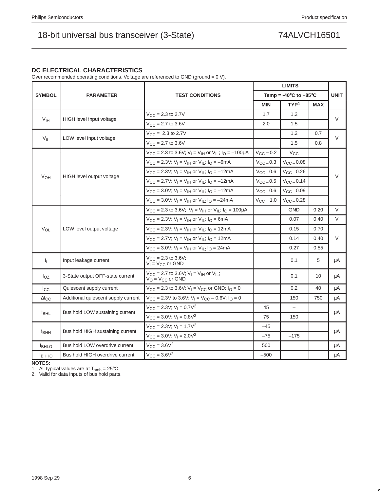### **DC ELECTRICAL CHARACTERISTICS**

Over recommended operating conditions. Voltage are referenced to GND (ground = 0 V).

|                  |                                     |                                                                                                              |                       | <b>LIMITS</b>                               |            |             |  |
|------------------|-------------------------------------|--------------------------------------------------------------------------------------------------------------|-----------------------|---------------------------------------------|------------|-------------|--|
| <b>SYMBOL</b>    | <b>PARAMETER</b>                    | <b>TEST CONDITIONS</b>                                                                                       |                       | Temp = -40 $^{\circ}$ C to +85 $^{\circ}$ C |            | <b>UNIT</b> |  |
|                  |                                     |                                                                                                              | <b>MIN</b>            | TYP <sup>1</sup>                            | <b>MAX</b> |             |  |
|                  |                                     | $V_{CC} = 2.3$ to 2.7V                                                                                       | 1.7                   | 1.2                                         |            | V           |  |
| V <sub>IH</sub>  | HIGH level Input voltage            | $V_{\text{CC}} = 2.7$ to 3.6V                                                                                | 2.0                   | 1.5                                         |            |             |  |
|                  | LOW level Input voltage             | $V_{CC} = 2.3$ to 2.7V                                                                                       |                       | 1.2                                         | 0.7        | $\vee$      |  |
| $V_{IL}$         |                                     | $V_{CC} = 2.7$ to 3.6V                                                                                       |                       | 1.5                                         | 0.8        |             |  |
|                  |                                     | $V_{\text{CC}}$ = 2.3 to 3.6V; V <sub>I</sub> = V <sub>IH</sub> or V <sub>IL</sub> ; I <sub>O</sub> = -100µA | $V_{CC}$ – 0.2        | $V_{CC}$                                    |            |             |  |
|                  |                                     | $V_{CC}$ = 2.3V; V <sub>I</sub> = V <sub>IH</sub> or V <sub>IL</sub> ; I <sub>O</sub> = -6mA                 | $V_{\text{CC}}$ = 0.3 | $V_{CC} = 0.08$                             |            |             |  |
|                  | HIGH level output voltage           | $V_{CC}$ = 2.3V; V <sub>I</sub> = V <sub>IH</sub> or V <sub>IL</sub> ; I <sub>O</sub> = -12mA                | $V_{CC} = 0.6$        | $V_{CC}$ $-$ 0.26                           |            | $\vee$      |  |
| $V_{OH}$         |                                     | $V_{CC}$ = 2.7V; $V_1 = V_{IH}$ or $V_{IL}$ ; $I_Q = -12mA$                                                  | $V_{CC}$ $-$ 0.5      | $V_{CC} = 0.14$                             |            |             |  |
|                  |                                     | $V_{CC}$ = 3.0V; V <sub>I</sub> = V <sub>IH</sub> or V <sub>IL</sub> ; I <sub>O</sub> = -12mA                | $V_{CC} = 0.6$        | $V_{CC} = 0.09$                             |            |             |  |
|                  |                                     | $V_{CC}$ = 3.0V; V <sub>I</sub> = V <sub>IH</sub> or V <sub>IL:</sub> I <sub>O</sub> = -24mA                 | $V_{\rm CC}$ – 1.0    | $V_{CC}$ $-$ 0.28                           |            |             |  |
|                  |                                     | $V_{\text{CC}}$ = 2.3 to 3.6V; $V_{\text{I}}$ = V <sub>IH</sub> or V <sub>IL</sub> ; $I_{\text{O}}$ = 100µA  |                       | <b>GND</b>                                  | 0.20       | $\vee$      |  |
|                  |                                     | $V_{CC}$ = 2.3V; $V_1 = V_{IH}$ or $V_{IL}$ ; $I_Q$ = 6mA                                                    |                       | 0.07                                        | 0.40       | $\vee$      |  |
| $V_{OL}$         | LOW level output voltage            | $V_{CC}$ = 2.3V; V <sub>I</sub> = V <sub>IH</sub> or V <sub>IL</sub> ; I <sub>O</sub> = 12mA                 |                       | 0.15                                        | 0.70       |             |  |
|                  |                                     | $V_{CC}$ = 2.7V; V <sub>I</sub> = V <sub>IH</sub> or V <sub>IL</sub> ; I <sub>O</sub> = 12mA                 |                       | 0.14                                        | 0.40       | $\vee$      |  |
|                  |                                     | $V_{CC}$ = 3.0V; $V_I = V_{IH}$ or $V_{ILI}$ $I_O$ = 24mA                                                    |                       | 0.27                                        | 0.55       |             |  |
| I <sub>I</sub>   | Input leakage current               | $V_{CC}$ = 2.3 to 3.6V;<br>$V_1 = V_{CC}$ or GND                                                             |                       | 0.1                                         | 5          | μA          |  |
| $I_{OZ}$         | 3-State output OFF-state current    | $V_{\text{CC}} = 2.7$ to 3.6V; $V_{\text{I}} = V_{\text{IH}}$ or $V_{\text{IL}}$ ;<br>$V_O = V_{CC}$ or GND  |                       | 0.1                                         | 10         | μA          |  |
| $I_{\rm CC}$     | Quiescent supply current            | $V_{CC}$ = 2.3 to 3.6V; $V_1 = V_{CC}$ or GND; $I_Q = 0$                                                     |                       | 0.2                                         | 40         | μA          |  |
| $\Delta I_{CC}$  | Additional quiescent supply current | $V_{CC}$ = 2.3V to 3.6V; $V_1 = V_{CC} - 0.6V$ ; $I_Q = 0$                                                   |                       | 150                                         | 750        | μA          |  |
|                  |                                     | $V_{CC} = 2.3V$ ; $V_1 = 0.7V^2$                                                                             | 45                    |                                             |            |             |  |
| <b>I</b> BHL     | Bus hold LOW sustaining current     | $V_{CC} = 3.0V$ ; $V_1 = 0.8V^2$                                                                             | 75                    | 150                                         |            | μA          |  |
|                  |                                     | $V_{CC}$ = 2.3V; $V_1$ = 1.7V <sup>2</sup>                                                                   | $-45$                 |                                             |            |             |  |
| <sup>1</sup> BHH | Bus hold HIGH sustaining current    | $V_{CC} = 3.0V$ ; $V_1 = 2.0V^2$                                                                             | $-75$                 | $-175$                                      |            | μA          |  |
| <b>BHLO</b>      | Bus hold LOW overdrive current      | $V_{CC} = 3.6V^2$                                                                                            | 500                   |                                             |            | μA          |  |
| Івнно            | Bus hold HIGH overdrive current     | $V_{CC} = 3.6V^2$                                                                                            | $-500$                |                                             |            | μA          |  |

**NOTES:**

1. All typical values are at  $T_{amb} = 25^{\circ}$ C.<br>2. Valid for data inputs of bus hold parts.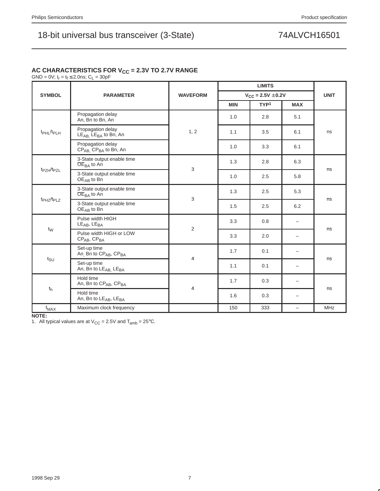## AC CHARACTERISTICS FOR V<sub>CC</sub> = 2.3V TO 2.7V RANGE

GND = 0V;  $t_r = t_f \le 2.0$ ns; C<sub>L</sub> = 30pF

| <b>SYMBOL</b>                      | <b>PARAMETER</b>                                                        | <b>WAVEFORM</b> |            | $V_{CC} = 2.5V \pm 0.2V$ |                          | <b>UNIT</b> |  |
|------------------------------------|-------------------------------------------------------------------------|-----------------|------------|--------------------------|--------------------------|-------------|--|
|                                    |                                                                         |                 | <b>MIN</b> | TYP <sup>1</sup>         | <b>MAX</b>               |             |  |
|                                    | Propagation delay<br>An, Bn to Bn, An                                   |                 | 1.0        | 2.8                      | 5.1                      |             |  |
| t <sub>PHL</sub> /t <sub>PLH</sub> | Propagation delay<br>$LE_{AB}$ , $LE_{BA}$ to Bn, An                    | 1, 2            | 1.1        | 3.5                      | 6.1                      | ns          |  |
|                                    | Propagation delay<br>CP <sub>AB.</sub> CP <sub>BA</sub> to Bn, An       |                 | 1.0        | 3.3                      | 6.1                      |             |  |
|                                    | 3-State output enable time<br>$\overline{OE}_{BA}$ to An                | 3               | 1.3        | 2.8                      | 6.3                      |             |  |
| t <sub>PZH</sub> /t <sub>PZL</sub> | 3-State output enable time<br>$OEAB$ to Bn                              |                 | 1.0        | 2.5                      | 5.8                      | ns          |  |
|                                    | 3-State output enable time<br>$\overline{OE}_{BA}$ to An                | 3               | 1.3        | 2.5                      | 5.3                      | ns          |  |
| t <sub>PHZ</sub> /t <sub>PLZ</sub> | 3-State output enable time<br>$OEAB$ to Bn                              |                 | 1.5        | 2.5                      | 6.2                      |             |  |
|                                    | Pulse width HIGH<br>$LE_{AB}$ , $LE_{BA}$                               |                 | 3.3        | 0.8                      | -                        |             |  |
|                                    | 2<br>$t_{\text{W}}$<br>Pulse width HIGH or LOW<br>$CP_{AB}$ , $CP_{BA}$ |                 | 3.3        | 2.0                      |                          | ns          |  |
|                                    | Set-up time<br>An Bn to CP <sub>AB</sub> , CP <sub>BA</sub>             |                 | 1.7        | 0.1                      |                          |             |  |
| tsu                                | Set-up time<br>An, Bn to LEAB, LEBA                                     | 4               | 1.1        | 0.1                      | $\overline{\phantom{0}}$ | ns          |  |
|                                    | Hold time<br>An, Bn to CP <sub>AB</sub> , CP <sub>BA</sub>              | 4               | 1.7        | 0.3                      | -                        |             |  |
| $t_{h}$                            | Hold time<br>An, Bn to LE <sub>AB</sub> , LE <sub>BA</sub>              |                 | 1.6        | 0.3                      | -                        | ns          |  |
| f <sub>MAX</sub>                   | Maximum clock frequency                                                 |                 | 150        | 333                      | $\overline{\phantom{0}}$ | <b>MHz</b>  |  |

**NOTE:**

1. All typical values are at  $V_{CC} = 2.5V$  and  $T_{amb} = 25^{\circ}C$ .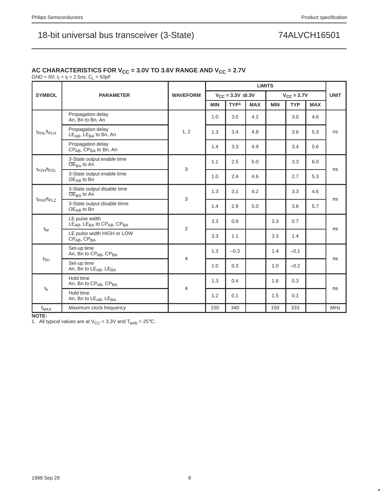## AC CHARACTERISTICS FOR V<sub>CC</sub> = 3.0V TO 3.6V RANGE AND V<sub>CC</sub> = 2.7V

 $GND = 0V$ ;  $t_r = t_f = 2.5$ ns;  $C_L = 50pF$ 

|                                    |                                                              |                 | <b>LIMITS</b> |                          |            |            |                        |            |             |
|------------------------------------|--------------------------------------------------------------|-----------------|---------------|--------------------------|------------|------------|------------------------|------------|-------------|
| <b>SYMBOL</b>                      | <b>PARAMETER</b>                                             | <b>WAVEFORM</b> |               | $V_{CC} = 3.3V \pm 0.3V$ |            |            | $V_{\text{CC}} = 2.7V$ |            | <b>UNIT</b> |
|                                    |                                                              |                 | <b>MIN</b>    | TYP <sup>1</sup>         | <b>MAX</b> | <b>MIN</b> | <b>TYP</b>             | <b>MAX</b> |             |
|                                    | Propagation delay<br>An, Bn to Bn, An                        |                 | 1.0           | 3.0                      | 4.2        |            | 3.0                    | 4.6        |             |
| t <sub>PHL</sub> /t <sub>PLH</sub> | Propagation delay<br>$LE_{AB}$ , $LE_{BA}$ to Bn, An         | 1, 2            | 1.3           | 3.4                      | 4.8        |            | 3.6                    | 5.3        | ns          |
|                                    | Propagation delay<br>$CP_{AB}$ , $CP_{BA}$ to Bn, An         |                 | 1.4           | 3.3                      | 4.9        |            | 3.4                    | 5.6        |             |
|                                    | 3-State output enable time<br>$\overline{OE}_{BA}$ to An     | 3               | 1.1           | 2.5                      | 5.0        |            | 3.3                    | 6.0        |             |
| t <sub>PZH</sub> /t <sub>PZL</sub> | 3-State output enable time<br>$OEAB$ to Bn                   |                 | 1.0           | 2.4                      | 4.6        |            | 2.7                    | 5.3        | ns          |
|                                    | 3-State output disable time<br>$OEBA$ to An                  | 3               | 1.3           | 3.1                      | 4.2        |            | 3.3                    | 4.6        |             |
| $t_{PHZ}/t_{PIZ}$                  | 3-State output disable tiime<br>$OEAB$ to Bn                 |                 | 1.4           | 2.9                      | 5.0        |            | 3.6                    | 5.7        | ns          |
|                                    | LE pulse width<br>$LEAB$ , $LEBA$ to $CPAB$ , $CPBA$         | $\overline{2}$  | 3.3           | 0.9                      |            | 3.3        | 0.7                    |            |             |
| $t_{\text{VV}}$                    | LE pulse width HIGH or LOW<br>$CPAB$ , $CPBA$                |                 | 3.3           | 1.1                      |            | 3.3        | 1.4                    |            | ns          |
|                                    | Set-up time<br>An, Bn to CP <sub>AB</sub> , CP <sub>BA</sub> |                 | 1.3           | $-0.3$                   |            | 1.4        | $-0.1$                 |            |             |
| $t_{\text{SU}}$                    | Set-up time<br>An, Bn to LE <sub>AB</sub> , LE <sub>BA</sub> | 4               | 1.0           | 0.3                      |            | 1.0        | $-0.2$                 |            | ns          |
|                                    | Hold time<br>An, Bn to CP <sub>AB</sub> , CP <sub>BA</sub>   |                 | 1.3           | 0.4                      |            | 1.6        | 0.3                    |            |             |
| t <sub>h</sub>                     | Hold time<br>An, Bn to LE <sub>AB</sub> , LE <sub>BA</sub>   | 4               | 1.2           | 0.1                      |            | 1.5        | 0.1                    |            | ns          |
| $f_\mathsf{MAX}$                   | Maximum clock frequency                                      |                 | 150           | 340                      |            | 150        | 333                    |            | <b>MHz</b>  |

**NOTE:**

1. All typical values are at  $V_{CC} = 3.3V$  and  $T_{amb} = 25^{\circ}C$ .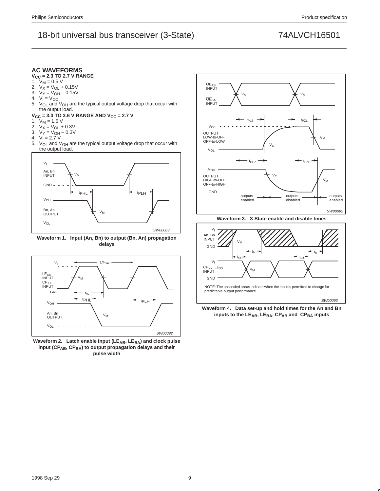



Waveform 2. Latch enable input (LE<sub>AB</sub>, LE<sub>BA</sub>) and clock pulse input (CP<sub>AB</sub>, CP<sub>BA</sub>) to output propagation delays and their **pulse width**



**Waveform 3. 3-State enable and disable times**



**Waveform 4. Data set-up and hold times for the An and Bn** inputs to the LE<sub>AB</sub>, LE<sub>BA</sub>, CP<sub>AB</sub> and CP<sub>BA</sub> inputs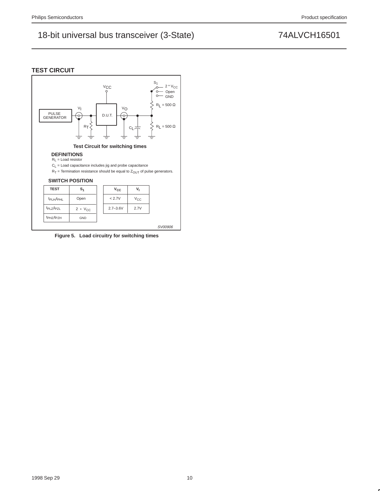



**Figure 5. Load circuitry for switching times**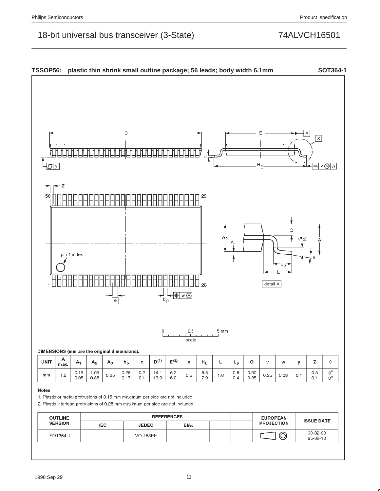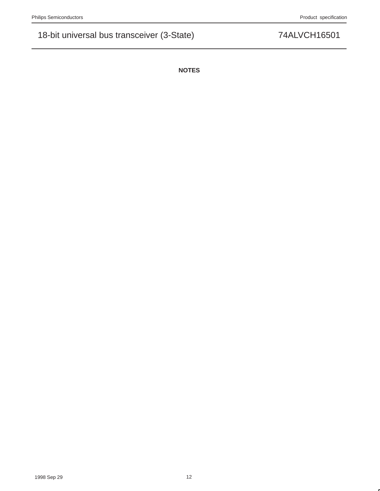**NOTES**